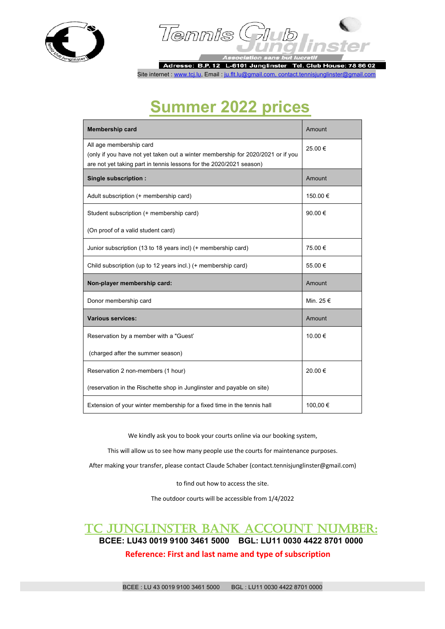



Adresse: B.P. 12 L-6101 Junglinster **Tel. Club House: 78 86 02** Site internet : www.tcj.lu, Email : ju.flt.lu@gmail.com, contact.tennisjunglinster@gmail.com

## **Summer 2022 prices**

| <b>Membership card</b>                                                                                                                                                            | Amount    |
|-----------------------------------------------------------------------------------------------------------------------------------------------------------------------------------|-----------|
| All age membership card<br>(only if you have not yet taken out a winter membership for 2020/2021 or if you<br>are not yet taking part in tennis lessons for the 2020/2021 season) | 25.00€    |
| Single subscription :                                                                                                                                                             | Amount    |
| Adult subscription (+ membership card)                                                                                                                                            | 150.00€   |
| Student subscription (+ membership card)                                                                                                                                          | 90.00€    |
| (On proof of a valid student card)                                                                                                                                                |           |
| Junior subscription (13 to 18 years incl) (+ membership card)                                                                                                                     | 75.00 €   |
| Child subscription (up to 12 years incl.) (+ membership card)                                                                                                                     | 55.00€    |
| Non-player membership card:                                                                                                                                                       | Amount    |
| Donor membership card                                                                                                                                                             | Min. 25 € |
| <b>Various services:</b>                                                                                                                                                          | Amount    |
| Reservation by a member with a "Guest"                                                                                                                                            | 10.00 €   |
| (charged after the summer season)                                                                                                                                                 |           |
| Reservation 2 non-members (1 hour)                                                                                                                                                | 20.00€    |
| (reservation in the Rischette shop in Junglinster and payable on site)                                                                                                            |           |
| Extension of your winter membership for a fixed time in the tennis hall                                                                                                           | 100,00 €  |

We kindly ask you to book your courts online via our booking system,

This will allow us to see how many people use the courts for maintenance purposes.

After making your transfer, please contact Claude Schaber (contact.tennisjunglinster@gmail.com)

to find out how to access the site.

The outdoor courts will be accessible from 1/4/2022

## TC JUNGLINSTER BANK ACCOUNT NUMBER: **BCEE: LU43 0019 9100 3461 5000 BGL: LU11 0030 4422 8701 0000**

**Reference: First and last name and type of subscription**